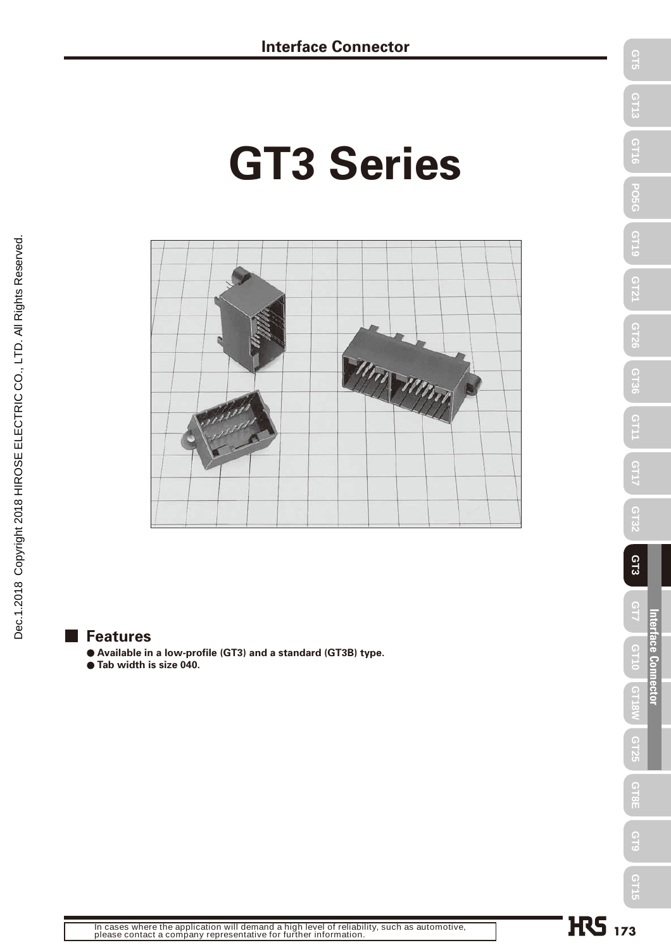# **GT3 Series**



#### **Features**

- **Available in a low-profile (GT3) and a standard (GT3B) type.**
- **Tab width is size 040.**

**Interface Connector**

Interface Connector  $7115$ 

 $C$ T5

**GT13** 

**GT16** 

ပိုင်ပ

GT19

GT2

GT26

**GT36** 

GT1

GT1

GT32

GT3

 $\frac{1}{2}$ 

GT25

GT8E

G<sub>T</sub>S

GT15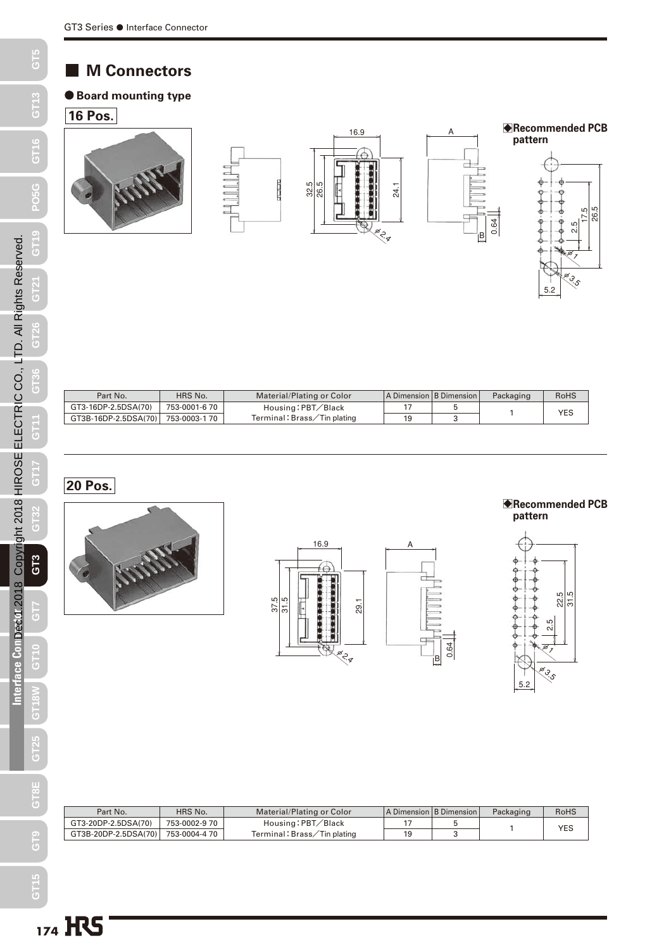#### **M Connectors**

#### **Board mounting type**

#### **16 Pos.**



| Part No.             | HRS No.      | Material/Plating or Color  | A Dimension B Dimension | Packaging | <b>RoHS</b> |
|----------------------|--------------|----------------------------|-------------------------|-----------|-------------|
| GT3-16DP-2.5DSA(70)  | 753-0001-670 | Housing: PBT/Black         |                         |           | YES         |
| GT3B-16DP-2.5DSA(70) | 753-0003-170 | Terminal:Brass/Tin plating |                         |           |             |

**20 Pos.**







B**Recommended PCB** 

5.2

φ3.5



ie,

0.64

A

 $\Box$ 

q

| Part No.             | HRS No.       | Material/Plating or Color   | A Dimension   B Dimension | Packaging | RoHS |
|----------------------|---------------|-----------------------------|---------------------------|-----------|------|
| GT3-20DP-2.5DSA(70)  | 753-0002-9 70 | Housing: PBT/Black          |                           |           | YES  |
| GT3B-20DP-2.5DSA(70) | 753-0004-4 70 | Terminal: Brass/Tin plating |                           |           |      |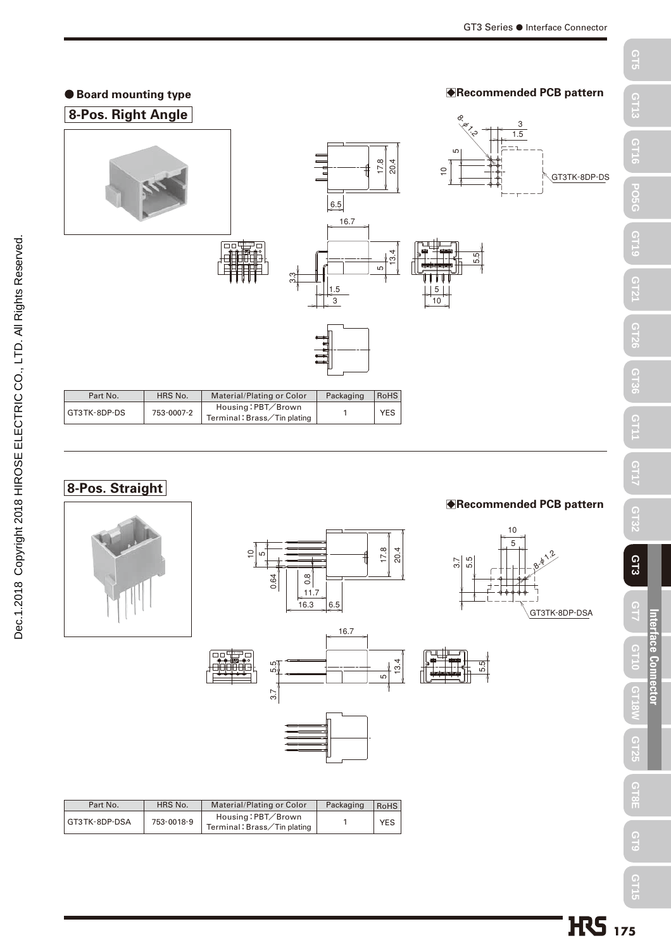

#### **8-Pos. Straight**









.<br>სე





 $\frac{5}{13.4}$ 

| Part No.      | HRS No.    | Material/Plating or Color                        | Packaging | <b>RoHS</b> |
|---------------|------------|--------------------------------------------------|-----------|-------------|
| GT3TK-8DP-DSA | 753-0018-9 | Housing:PBT/Brown<br>Terminal: Brass/Tin plating |           | <b>YES</b>  |

**GT25**

**GT8E** 

 **GT9**

**GT15** 

Dec.1.2018 Copyright 2018 HIROSE ELECTRIC CO., LTD. All Rights Reserved.

Dec.1.2018 Copyright 2018 HIROSE ELECTRIC CO., LTD. All Rights Reserved.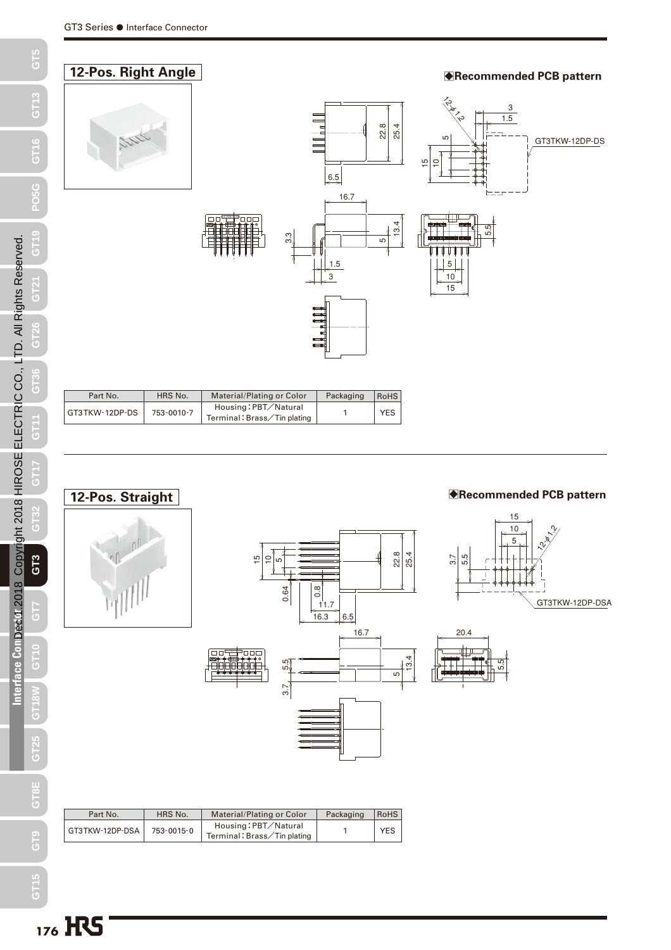### **12-Pos. Right Angle BREE** BLOCK **BREEZING BREEZING BREEZING BREEZING BREEZING BREEZING BREEZING BREEZING BREEZING**

3 1.5





25.4

22.8



15

12-**φ1.2** 

| Part No.       | HRS No.    | Material/Plating or Color                           | Packaging | <b>RoHS</b> |
|----------------|------------|-----------------------------------------------------|-----------|-------------|
| GT3TKW-12DP-DS | 753-0010-7 | Housing: PBT/Natural<br>Terminal: Brass/Tin plating |           | <b>YES</b>  |

100



| Part No.        | HRS No.    | Material/Plating or Color                           | Packaging | <b>RoHS</b> |
|-----------------|------------|-----------------------------------------------------|-----------|-------------|
| GT3TKW-12DP-DSA | 753-0015-0 | Housing: PBT/Natural<br>Terminal: Brass/Tin plating |           | <b>YES</b>  |
|                 |            |                                                     |           |             |

**GT13**

**GT16**

**PO5G**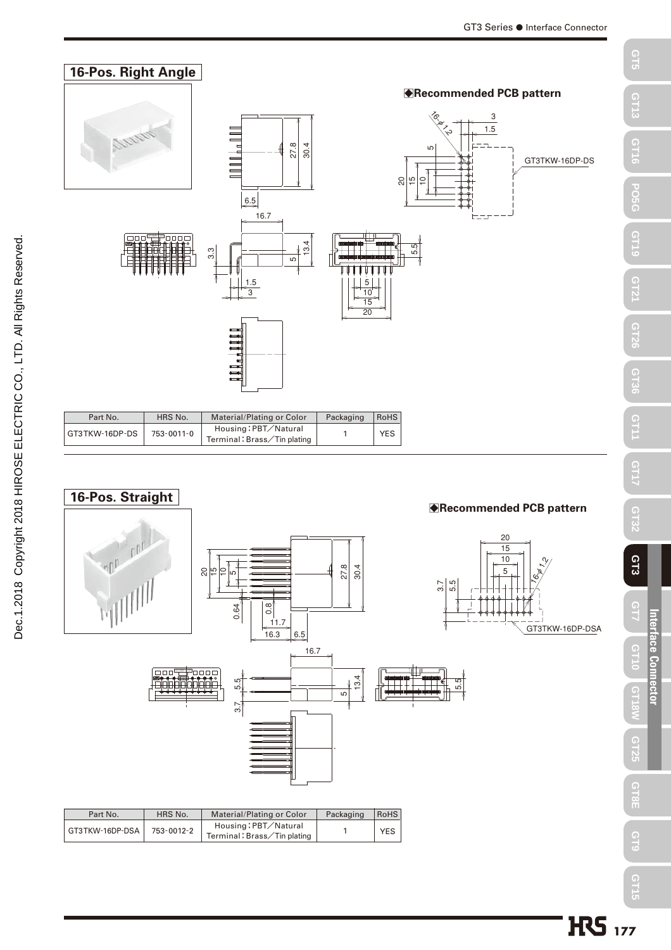



| Part No.        | HRS No.    | Material/Plating or Color                           | Packaging | RoHS |
|-----------------|------------|-----------------------------------------------------|-----------|------|
| GT3TKW-16DP-DSA | 753-0012-2 | Housing: PBT/Natural<br>Terminal: Brass/Tin plating |           | YES. |

 **GT17**

 **GT32**

 **GT3**

**GT7**

GT3TKW-16DP-DSA

 **GT10**

**Interface Connector**

Interface Connector

**GT18W**

**GT25**

**GT8E** 

 **GT9**

**GT15**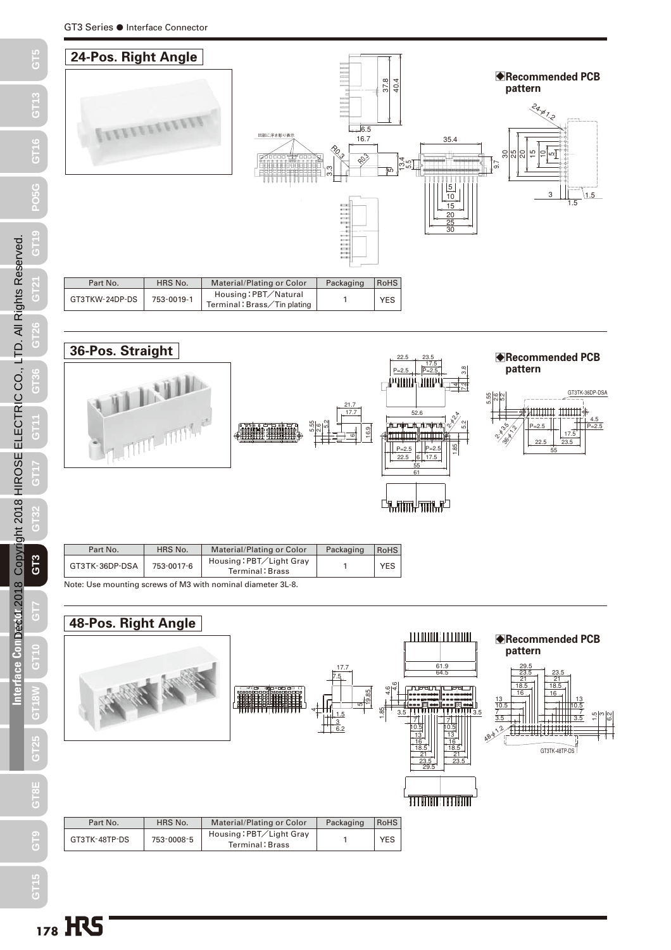



| Part No.                                                    | HRS No.    | Material/Plating or Color                  | Packaging | <b>RoHS</b> |  |  |
|-------------------------------------------------------------|------------|--------------------------------------------|-----------|-------------|--|--|
| GT3TK-36DP-DSA                                              | 753-0017-6 | Housing: PBT/Light Gray<br>Terminal: Brass |           | <b>YES</b>  |  |  |
| Note: Use mounting screws of M3 with nominal diameter 3L-8. |            |                                            |           |             |  |  |